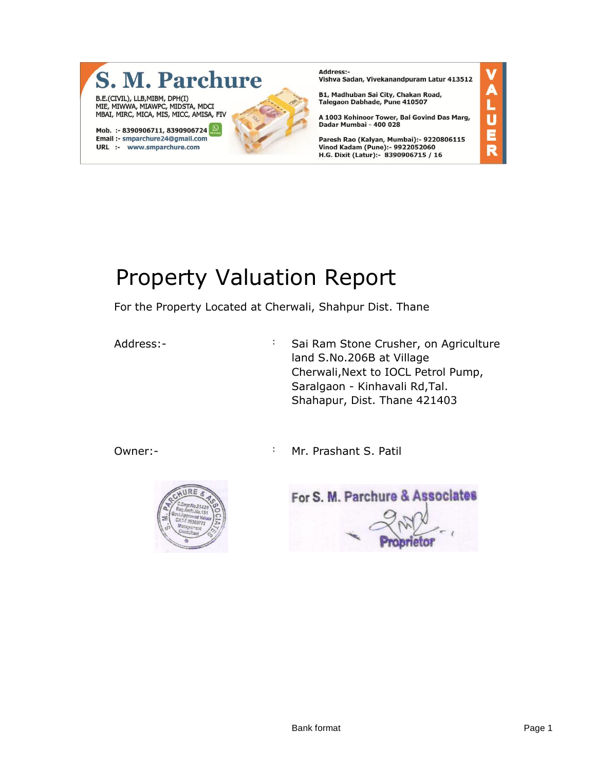

**Address:-Nadiessi**<br>Vishva Sadan, Vivekanandpuram Latur 413512

B1, Madhuban Sai City, Chakan Road, Talegaon Dabhade, Pune 410507

A 1003 Kohinoor Tower, Bal Govind Das Marg, Dadar Mumbai - 400 028

Paresh Rao (Kalyan, Mumbai):- 9220806115 Vinod Kadam (Pune):- 9922052060<br>H.G. Dixit (Latur):- 8390906715 / 16

# Property Valuation Report

For the Property Located at Cherwali, Shahpur Dist. Thane

Address:- The Sai Ram Stone Crusher, on Agriculture land S.No.206B at Village Cherwali,Next to IOCL Petrol Pump, Saralgaon - Kinhavali Rd,Tal. Shahapur, Dist. Thane 421403

Owner:- The Community of Mr. Prashant S. Patil



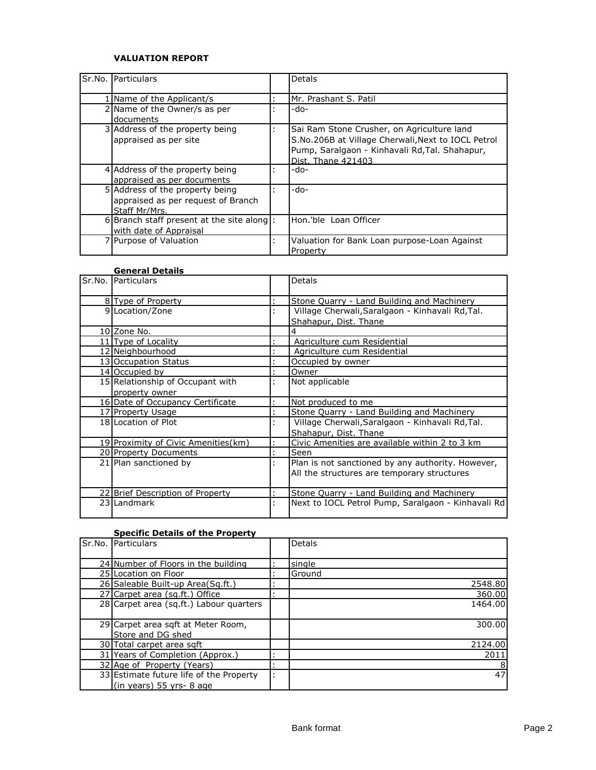# **VALUATION REPORT**

| Sr.No. Particulars                                                                     |                | <b>Detals</b>                                                                                                                                                            |
|----------------------------------------------------------------------------------------|----------------|--------------------------------------------------------------------------------------------------------------------------------------------------------------------------|
| 1 Name of the Applicant/s                                                              |                | Mr. Prashant S. Patil                                                                                                                                                    |
| 2 Name of the Owner/s as per<br>documents                                              |                | -do-                                                                                                                                                                     |
| 3 Address of the property being<br>appraised as per site                               |                | Sai Ram Stone Crusher, on Agriculture land<br>S.No.206B at Village Cherwali, Next to IOCL Petrol<br>Pump, Saralgaon - Kinhavali Rd, Tal. Shahapur,<br>Dist. Thane 421403 |
| 4 Address of the property being<br>appraised as per documents                          |                | -do-                                                                                                                                                                     |
| 5 Address of the property being<br>appraised as per request of Branch<br>Staff Mr/Mrs. |                | -do-                                                                                                                                                                     |
| 6 Branch staff present at the site along $\vert$ :<br>with date of Appraisal           |                | Hon.'ble Loan Officer                                                                                                                                                    |
| 7 Purpose of Valuation                                                                 | $\blacksquare$ | Valuation for Bank Loan purpose-Loan Against<br>Property                                                                                                                 |

#### **General Details**

| Sr.No. Particulars                  | <b>Detals</b>                                      |
|-------------------------------------|----------------------------------------------------|
| 8 Type of Property                  | Stone Quarry - Land Building and Machinery         |
| 9 Location/Zone                     | Village Cherwali, Saralgaon - Kinhavali Rd, Tal.   |
|                                     | Shahapur, Dist. Thane                              |
| 10 Zone No.                         | 4                                                  |
| 11 Type of Locality                 | Agriculture cum Residential                        |
| 12 Neighbourhood                    | Agriculture cum Residential                        |
| 13 Occupation Status                | Occupied by owner                                  |
| 14 Occupied by                      | Owner                                              |
| 15 Relationship of Occupant with    | Not applicable                                     |
| property owner                      |                                                    |
| 16 Date of Occupancy Certificate    | Not produced to me                                 |
| 17 Property Usage                   | Stone Quarry - Land Building and Machinery         |
| 18 Location of Plot                 | Village Cherwali, Saralgaon - Kinhavali Rd, Tal.   |
|                                     | Shahapur, Dist, Thane                              |
| 19 Proximity of Civic Amenities(km) | Civic Amenities are available within 2 to 3 km     |
| 20 Property Documents               | Seen                                               |
| 21 Plan sanctioned by               | Plan is not sanctioned by any authority. However,  |
|                                     | All the structures are temporary structures        |
|                                     |                                                    |
| 22 Brief Description of Property    | Stone Quarry - Land Building and Machinery         |
| 23 Landmark                         | Next to IOCL Petrol Pump, Saralgaon - Kinhavali Rd |
|                                     |                                                    |

# **Specific Details of the Property**

| Sr.No. Particulars                      | <b>Detals</b> |
|-----------------------------------------|---------------|
| 24 Number of Floors in the building     | single        |
| 25 Location on Floor                    | Ground        |
| 26 Saleable Built-up Area(Sq.ft.)       | 2548.80       |
| 27 Carpet area (sq.ft.) Office          | 360.00        |
| 28 Carpet area (sq.ft.) Labour quarters | 1464.00       |
|                                         |               |
| 29 Carpet area sqft at Meter Room,      | 300.00        |
| Store and DG shed                       |               |
| 30 Total carpet area sgft               | 2124.00       |
| 31 Years of Completion (Approx.)        | 2011          |
| 32 Age of Property (Years)              | 8             |
| 33 Estimate future life of the Property | 47            |
| $(in \text{ years})$ 55 yrs- 8 age      |               |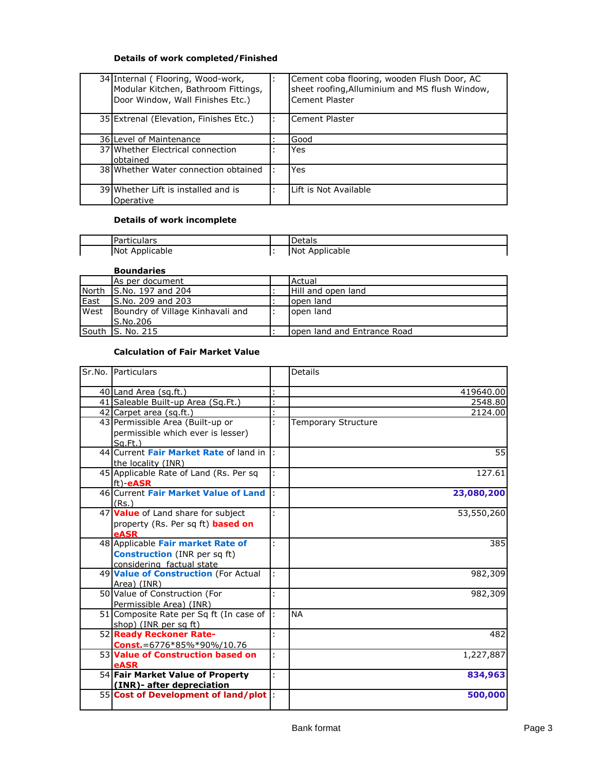# **Details of work completed/Finished**

| 34 Internal (Flooring, Wood-work,<br>Modular Kitchen, Bathroom Fittings,<br>Door Window, Wall Finishes Etc.) | Cement coba flooring, wooden Flush Door, AC<br>sheet roofing, Alluminium and MS flush Window,<br>Cement Plaster |
|--------------------------------------------------------------------------------------------------------------|-----------------------------------------------------------------------------------------------------------------|
| 35 Extrenal (Elevation, Finishes Etc.)                                                                       | Cement Plaster                                                                                                  |
| 36 Level of Maintenance                                                                                      | Good                                                                                                            |
| 37 Whether Electrical connection<br>obtained                                                                 | Yes                                                                                                             |
| 38 Whether Water connection obtained                                                                         | <b>Yes</b>                                                                                                      |
| 39 Whether Lift is installed and is<br>Operative                                                             | Lift is Not Available                                                                                           |

### **Details of work incomplete**

| l Particulars  | <b>Detals</b>  |
|----------------|----------------|
| Not Applicable | Not Applicable |

# **Boundaries**

|      | As per document                  | Actual                       |
|------|----------------------------------|------------------------------|
|      | North S.No. 197 and 204          | Hill and open land           |
| East | S.No. 209 and 203                | lopen land                   |
| West | Boundry of Village Kinhavali and | lopen land                   |
|      | S.No.206                         |                              |
|      | South S. No. 215                 | lopen land and Entrance Road |

#### **Calculation of Fair Market Value**

| Sr.No. Particulars                      |    | <b>Details</b>      |
|-----------------------------------------|----|---------------------|
| 40 Land Area (sq.ft.)                   |    | 419640.00           |
| 41 Saleable Built-up Area (Sq.Ft.)      |    | 2548.80             |
| 42 Carpet area (sq.ft.)                 |    | 2124.00             |
| 43 Permissible Area (Built-up or        |    | Temporary Structure |
| permissible which ever is lesser)       |    |                     |
| $Sa$ . Ft.)                             |    |                     |
| 44 Current Fair Market Rate of land in  |    | 55                  |
| the locality (INR)                      |    |                     |
| 45 Applicable Rate of Land (Rs. Per sq  | ÷  | 127.61              |
| ft) <b>eASR</b>                         |    |                     |
| 46 Current Fair Market Value of Land    |    | 23,080,200          |
| (Rs.)                                   |    |                     |
| 47 Value of Land share for subject      |    | 53,550,260          |
| property (Rs. Per sq ft) based on       |    |                     |
| eASR                                    |    |                     |
| 48 Applicable Fair market Rate of       |    | 385                 |
| <b>Construction</b> (INR per sq ft)     |    |                     |
| considering factual state               |    |                     |
| 49 Value of Construction (For Actual    |    | 982,309             |
| Area) (INR)                             |    |                     |
| 50 Value of Construction (For           |    | 982,309             |
| Permissible Area) (INR)                 |    |                     |
| 51 Composite Rate per Sq ft (In case of | Ŀ. | <b>NA</b>           |
| shop) (INR per sq ft)                   |    |                     |
| 52 Ready Reckoner Rate-                 | ł. | 482                 |
| <b>Const.</b> = $6776*85\%*90\%/10.76$  |    |                     |
| 53 Value of Construction based on       | ÷  | 1,227,887           |
| eASR                                    |    |                     |
| 54 Fair Market Value of Property        | ÷  | 834,963             |
| (INR)- after depreciation               |    |                     |
| 55 Cost of Development of land/plot :   |    | 500,000             |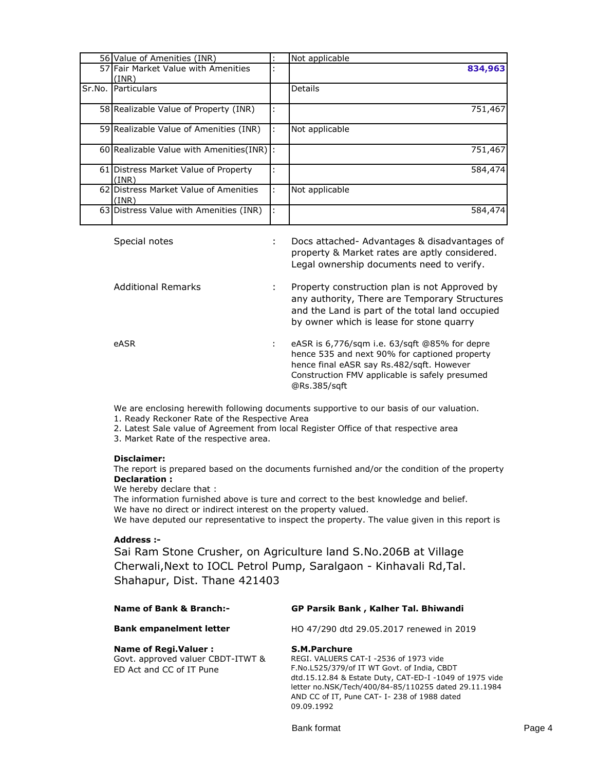|        | 56 Value of Amenities (INR)                    |   | Not applicable |
|--------|------------------------------------------------|---|----------------|
|        | 57 Fair Market Value with Amenities            |   | 834,963        |
|        | (INR)                                          |   |                |
| Sr.No. | Particulars                                    |   | Details        |
|        | 58 Realizable Value of Property (INR)          |   | 751,467        |
|        | 59 Realizable Value of Amenities (INR)         | ÷ | Not applicable |
|        | 60 Realizable Value with Amenities (INR)       |   | 751,467        |
|        | 61 Distress Market Value of Property<br>(INR)  |   | 584,474        |
|        | 62 Distress Market Value of Amenities<br>(INR) | ÷ | Not applicable |
|        | 63 Distress Value with Amenities (INR)         | ÷ | 584,474        |

| Special notes      | Docs attached- Advantages & disadvantages of<br>property & Market rates are aptly considered.<br>Legal ownership documents need to verify.                                                                    |
|--------------------|---------------------------------------------------------------------------------------------------------------------------------------------------------------------------------------------------------------|
| Additional Remarks | Property construction plan is not Approved by<br>any authority, There are Temporary Structures<br>and the Land is part of the total land occupied<br>by owner which is lease for stone quarry                 |
| eASR               | eASR is 6,776/sqm i.e. 63/sqft @85% for depre<br>hence 535 and next 90% for captioned property<br>hence final eASR say Rs.482/sgft. However<br>Construction FMV applicable is safely presumed<br>@Rs.385/sqft |

We are enclosing herewith following documents supportive to our basis of our valuation.

1. Ready Reckoner Rate of the Respective Area

2. Latest Sale value of Agreement from local Register Office of that respective area

3. Market Rate of the respective area.

### **Disclaimer:**

**Declaration :** The report is prepared based on the documents furnished and/or the condition of the property

We hereby declare that :

The information furnished above is ture and correct to the best knowledge and belief. We have no direct or indirect interest on the property valued.

We have deputed our representative to inspect the property. The value given in this report is

# **Address :-**

Sai Ram Stone Crusher, on Agriculture land S.No.206B at Village Cherwali,Next to IOCL Petrol Pump, Saralgaon - Kinhavali Rd,Tal. Shahapur, Dist. Thane 421403

| <b>Name of Bank &amp; Branch:-</b>                                                            | GP Parsik Bank, Kalher Tal. Bhiwandi                                                                                                                                                                                                                                                  |
|-----------------------------------------------------------------------------------------------|---------------------------------------------------------------------------------------------------------------------------------------------------------------------------------------------------------------------------------------------------------------------------------------|
| <b>Bank empanelment letter</b>                                                                | HO 47/290 dtd 29.05.2017 renewed in 2019                                                                                                                                                                                                                                              |
| <b>Name of Regi. Valuer:</b><br>Govt. approved valuer CBDT-ITWT &<br>ED Act and CC of IT Pune | S.M.Parchure<br>REGI. VALUERS CAT-I -2536 of 1973 vide<br>F.No.L525/379/of IT WT Govt. of India, CBDT<br>dtd.15.12.84 & Estate Duty, CAT-ED-I -1049 of 1975 vide<br>letter no.NSK/Tech/400/84-85/110255 dated 29.11.1984<br>AND CC of IT, Pune CAT- I-238 of 1988 dated<br>09.09.1992 |

Bank format **Page 4**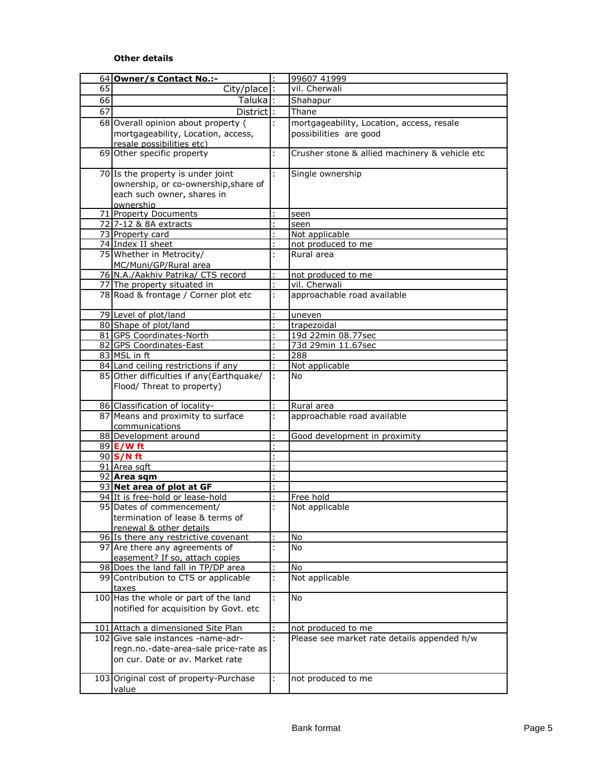# **Other details**

|    | 64 Owner/s Contact No.:-                                                    |    | 99607 41999                                    |
|----|-----------------------------------------------------------------------------|----|------------------------------------------------|
| 65 | $City/place$ :                                                              |    | vil. Cherwali                                  |
| 66 | Taluka :                                                                    |    | Shahapur                                       |
| 67 | District:                                                                   |    | Thane                                          |
|    |                                                                             |    |                                                |
|    | 68 Overall opinion about property (                                         |    | mortgageability, Location, access, resale      |
|    | mortgageability, Location, access,                                          |    | possibilities are good                         |
|    | resale possibilities etc)                                                   |    |                                                |
|    | 69 Other specific property                                                  |    | Crusher stone & allied machinery & vehicle etc |
|    | 70 Is the property is under joint                                           | ÷  | Single ownership                               |
|    | ownership, or co-ownership, share of                                        |    |                                                |
|    | each such owner, shares in                                                  |    |                                                |
|    | ownership                                                                   |    |                                                |
|    | 71 Property Documents                                                       |    | seen                                           |
|    | 72 7-12 & 8A extracts                                                       |    | seen                                           |
|    | 73 Property card                                                            |    | Not applicable                                 |
|    | 74 Index II sheet                                                           |    | not produced to me                             |
|    | 75 Whether in Metrocity/                                                    | ÷  | Rural area                                     |
|    | MC/Muni/GP/Rural area                                                       |    |                                                |
|    | 76 N.A./Aakhiv Patrika/ CTS record                                          |    | not produced to me                             |
|    | 77 The property situated in                                                 | ×, | vil. Cherwali                                  |
|    | 78 Road & frontage / Corner plot etc                                        | ÷  | approachable road available                    |
|    |                                                                             |    |                                                |
|    | 79 Level of plot/land                                                       |    | uneven                                         |
|    | 80 Shape of plot/land                                                       |    | trapezoidal                                    |
|    | 81 GPS Coordinates-North                                                    |    | 19d 22min 08.77sec                             |
|    | 82 GPS Coordinates-East                                                     |    | 73d 29min 11.67sec                             |
|    | 83 MSL in ft                                                                |    | 288                                            |
|    | 84 Land ceiling restrictions if any                                         |    | Not applicable                                 |
|    | 85 Other difficulties if any (Earthquake/                                   |    | No.                                            |
|    | Flood/ Threat to property)                                                  |    |                                                |
|    | 86 Classification of locality-                                              |    | Rural area                                     |
|    | 87 Means and proximity to surface                                           | ÷. | approachable road available                    |
|    | communications                                                              |    |                                                |
|    | 88 Development around                                                       |    | Good development in proximity                  |
|    | 89 E/W ft                                                                   |    |                                                |
|    | 90 S/N ft                                                                   |    |                                                |
|    | 91 Area sqft                                                                |    |                                                |
|    | 92 Area sqm                                                                 |    |                                                |
|    | 93 Net area of plot at GF                                                   |    |                                                |
|    | 94 It is free-hold or lease-hold                                            |    | Free hold                                      |
|    | 95 Dates of commencement/                                                   |    | Not applicable                                 |
|    | termination of lease & terms of                                             |    |                                                |
|    | renewal & other details                                                     |    |                                                |
|    | 96 Is there any restrictive covenant                                        |    | No                                             |
|    | 97 Are there any agreements of                                              | ł. | <b>No</b>                                      |
|    | easement? If so, attach copies                                              |    |                                                |
|    | 98 Does the land fall in TP/DP area<br>99 Contribution to CTS or applicable |    | No<br>Not applicable                           |
|    | taxes                                                                       |    |                                                |
|    | 100 Has the whole or part of the land                                       | ł. | No                                             |
|    | notified for acquisition by Govt. etc                                       |    |                                                |
|    |                                                                             |    |                                                |
|    | 101 Attach a dimensioned Site Plan                                          |    | not produced to me                             |
|    | 102 Give sale instances -name-adr-                                          | ÷  | Please see market rate details appended h/w    |
|    | regn.no.-date-area-sale price-rate as                                       |    |                                                |
|    | on cur. Date or av. Market rate                                             |    |                                                |
|    | 103 Original cost of property-Purchase                                      | ÷  | not produced to me                             |
|    | value                                                                       |    |                                                |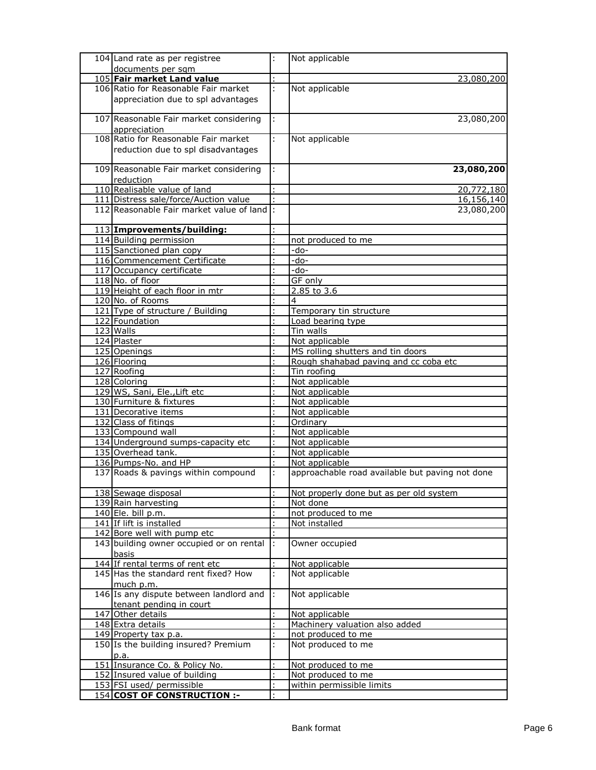| 104 Land rate as per registree             |    | Not applicable                                  |
|--------------------------------------------|----|-------------------------------------------------|
| documents per sqm                          |    |                                                 |
| 105 Fair market Land value                 |    | 23,080,200                                      |
| 106 Ratio for Reasonable Fair market       | ł. | Not applicable                                  |
| appreciation due to spl advantages         |    |                                                 |
|                                            |    |                                                 |
| 107 Reasonable Fair market considering     | ÷  | 23,080,200                                      |
| appreciation                               |    |                                                 |
| 108 Ratio for Reasonable Fair market       | ł. | Not applicable                                  |
| reduction due to spl disadvantages         |    |                                                 |
|                                            |    |                                                 |
| 109 Reasonable Fair market considering     |    | 23,080,200                                      |
| reduction                                  |    |                                                 |
| 110 Realisable value of land               |    | 20,772,180                                      |
| 111 Distress sale/force/Auction value      |    | 16,156,140                                      |
| 112 Reasonable Fair market value of land : |    | 23,080,200                                      |
|                                            |    |                                                 |
| 113 Improvements/building:                 |    |                                                 |
| 114 Building permission                    |    | not produced to me                              |
| 115 Sanctioned plan copy                   |    | -do-                                            |
| 116 Commencement Certificate               |    | -do-                                            |
| 117 Occupancy certificate                  |    | $-do-$                                          |
| 118 No. of floor                           |    | GF only                                         |
| 119 Height of each floor in mtr            |    | $2.85$ to $3.6$                                 |
| 120 No. of Rooms                           |    | 4                                               |
| 121 Type of structure / Building           |    | Temporary tin structure                         |
| 122 Foundation                             |    | Load bearing type                               |
| 123 Walls                                  |    | Tin walls                                       |
| 124 Plaster                                |    | Not applicable                                  |
| 125 Openings                               |    | MS rolling shutters and tin doors               |
| 126 Flooring                               |    | Rough shahabad paving and cc coba etc           |
| 127 Roofing                                |    | Tin roofing                                     |
| 128 Coloring                               |    | Not applicable                                  |
| 129 WS, Sani, Ele., Lift etc               |    | Not applicable                                  |
| 130 Furniture & fixtures                   |    | Not applicable                                  |
| 131 Decorative items                       |    | Not applicable                                  |
| 132 Class of fitings                       |    | Ordinary                                        |
| 133 Compound wall                          |    | Not applicable                                  |
| 134 Underground sumps-capacity etc         |    | Not applicable                                  |
| 135 Overhead tank.                         |    | Not applicable                                  |
| 136 Pumps-No. and HP                       |    | Not applicable                                  |
| 137 Roads & pavings within compound        |    | approachable road available but paving not done |
| 138 Sewage disposal                        |    | Not properly done but as per old system         |
| 139 Rain harvesting                        |    | Not done                                        |
| 140 Ele. bill p.m.                         |    | not produced to me                              |
| 141 If lift is installed                   |    | Not installed                                   |
| 142 Bore well with pump etc                |    |                                                 |
| 143 building owner occupied or on rental   | ł, | Owner occupied                                  |
| basis                                      |    |                                                 |
| 144 If rental terms of rent etc            | ŧ. | Not applicable                                  |
| 145 Has the standard rent fixed? How       | ł. | Not applicable                                  |
| much p.m.                                  |    |                                                 |
| 146 Is any dispute between landlord and    | Ŀ. | Not applicable                                  |
| tenant pending in court                    |    |                                                 |
| 147 Other details                          |    | Not applicable                                  |
| 148 Extra details                          |    | Machinery valuation also added                  |
| 149 Property tax p.a.                      |    | not produced to me                              |
| 150 Is the building insured? Premium       | ł. | Not produced to me                              |
| p.a.                                       |    |                                                 |
| 151 Insurance Co. & Policy No.             |    | Not produced to me                              |
| 152 Insured value of building              |    | Not produced to me                              |
| 153 FSI used/ permissible                  |    | within permissible limits                       |
| <u>154 COST OF CONSTRUCTION :-</u>         |    |                                                 |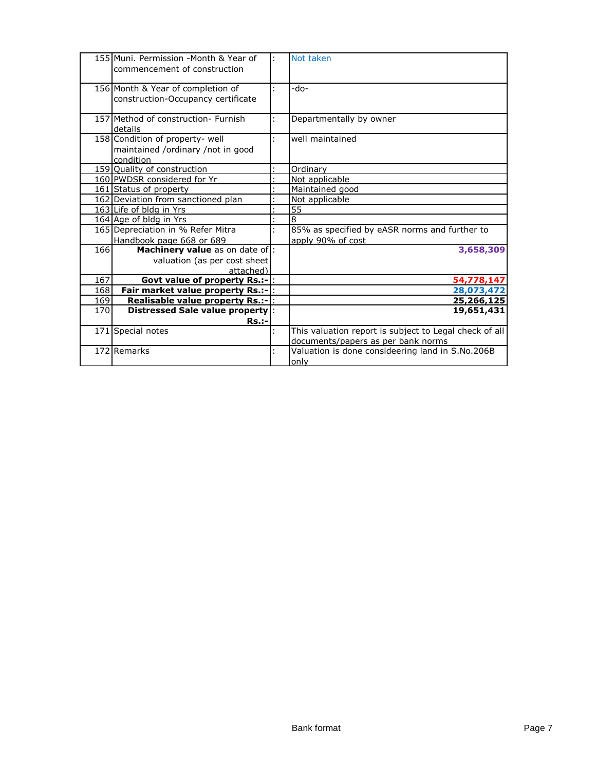|     | 155 Muni. Permission - Month & Year of<br>commencement of construction            |    | Not taken                                                                                    |
|-----|-----------------------------------------------------------------------------------|----|----------------------------------------------------------------------------------------------|
|     | 156 Month & Year of completion of<br>construction-Occupancy certificate           | ÷  | -do-                                                                                         |
|     | 157 Method of construction- Furnish<br>details                                    |    | Departmentally by owner                                                                      |
|     | 158 Condition of property- well<br>maintained /ordinary /not in good<br>condition | ÷. | well maintained                                                                              |
|     | 159 Quality of construction                                                       |    | Ordinary                                                                                     |
|     | 160 PWDSR considered for Yr                                                       |    | Not applicable                                                                               |
|     | 161 Status of property                                                            |    | Maintained good                                                                              |
|     | 162 Deviation from sanctioned plan                                                |    | Not applicable                                                                               |
|     | 163 Life of bldg in Yrs                                                           |    | 55                                                                                           |
|     | 164 Age of bldg in Yrs                                                            |    | $\overline{8}$                                                                               |
|     | 165 Depreciation in % Refer Mitra                                                 | ł. | 85% as specified by eASR norms and further to                                                |
|     | Handbook page 668 or 689                                                          |    | apply 90% of cost                                                                            |
| 166 | Machinery value as on date of:<br>valuation (as per cost sheet<br>attached)       |    | 3,658,309                                                                                    |
| 167 | <b>Govt value of property Rs.:-  :</b>                                            |    | 54,778,147                                                                                   |
| 168 | Fair market value property Rs.:- :                                                |    | 28,073,472                                                                                   |
| 169 | Realisable value property Rs.:- :                                                 |    | 25,266,125                                                                                   |
| 170 | Distressed Sale value property:                                                   |    | 19,651,431                                                                                   |
|     | <b>Rs.:-</b>                                                                      |    |                                                                                              |
|     | 171 Special notes                                                                 | ÷  | This valuation report is subject to Legal check of all<br>documents/papers as per bank norms |
|     | 172 Remarks                                                                       | t, | Valuation is done consideering land in S.No.206B<br>only                                     |